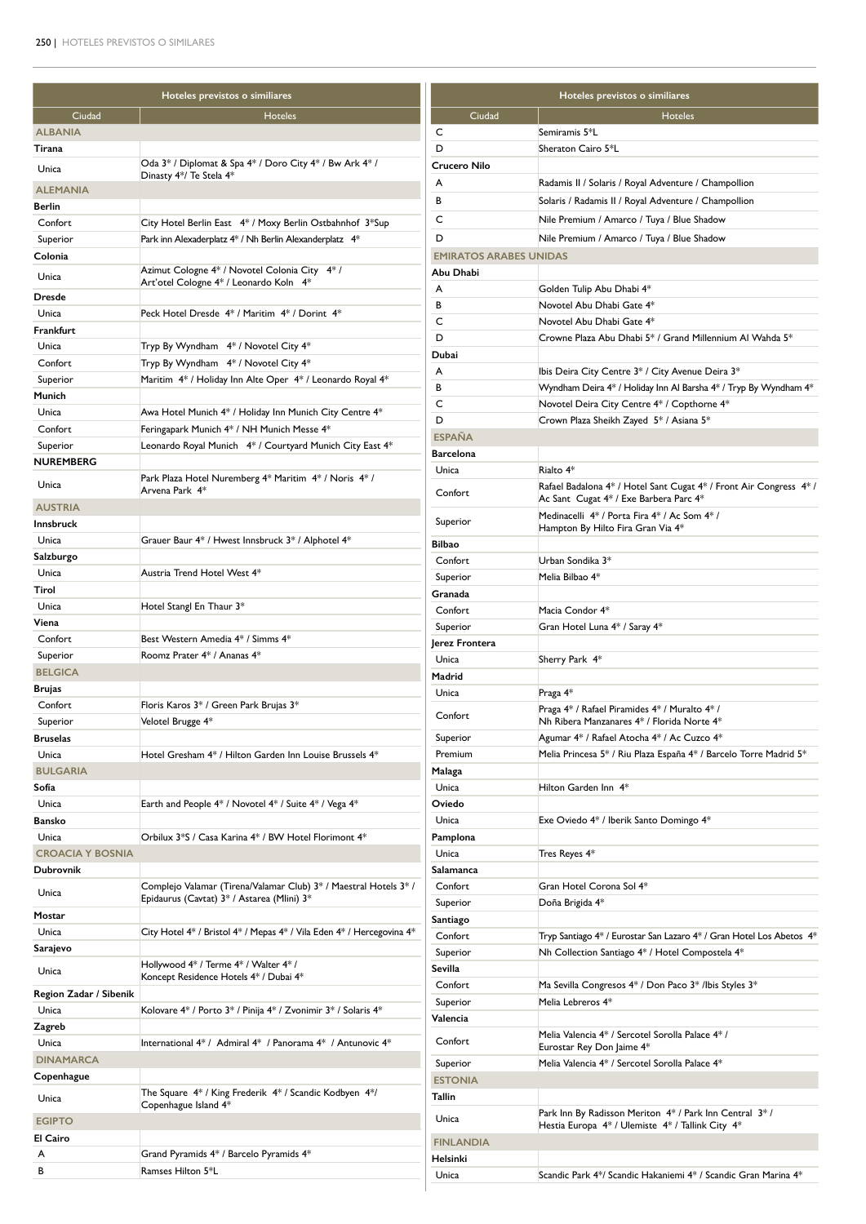| Hoteles previstos o similiares |                                                                                | Hoteles previstos o similiares |                                                                                                              |  |
|--------------------------------|--------------------------------------------------------------------------------|--------------------------------|--------------------------------------------------------------------------------------------------------------|--|
| Ciudad                         | <b>Hoteles</b>                                                                 | Ciudad                         | <b>Hoteles</b>                                                                                               |  |
| <b>ALBANIA</b>                 |                                                                                | C                              | Semiramis 5*L                                                                                                |  |
| Tirana                         |                                                                                | D                              | Sheraton Cairo 5*L                                                                                           |  |
| Unica                          | Oda 3* / Diplomat & Spa 4* / Doro City 4* / Bw Ark 4* /                        | Crucero Nilo                   |                                                                                                              |  |
|                                | Dinasty 4*/ Te Stela 4*                                                        | A                              | Radamis II / Solaris / Royal Adventure / Champollion                                                         |  |
| <b>ALEMANIA</b>                |                                                                                | В                              | Solaris / Radamis II / Royal Adventure / Champollion                                                         |  |
| Berlin<br>Confort              | City Hotel Berlin East 4* / Moxy Berlin Ostbahnhof 3*Sup                       | C                              | Nile Premium / Amarco / Tuya / Blue Shadow                                                                   |  |
|                                |                                                                                | D                              | Nile Premium / Amarco / Tuya / Blue Shadow                                                                   |  |
| Superior<br>Colonia            | Park inn Alexaderplatz 4* / Nh Berlin Alexanderplatz 4*                        | <b>EMIRATOS ARABES UNIDAS</b>  |                                                                                                              |  |
|                                | Azimut Cologne 4* / Novotel Colonia City 4* /                                  | Abu Dhabi                      |                                                                                                              |  |
| Unica                          | Art'otel Cologne 4* / Leonardo Koln 4*                                         | A                              | Golden Tulip Abu Dhabi 4*                                                                                    |  |
| Dresde                         |                                                                                | B                              | Novotel Abu Dhabi Gate 4*                                                                                    |  |
| Unica                          | Peck Hotel Dresde 4* / Maritim 4* / Dorint 4*                                  | C                              | Novotel Abu Dhabi Gate 4*                                                                                    |  |
| Frankfurt                      |                                                                                | D                              | Crowne Plaza Abu Dhabi 5* / Grand Millennium Al Wahda 5*                                                     |  |
| Unica                          | Tryp By Wyndham 4* / Novotel City 4*                                           | Dubai                          |                                                                                                              |  |
| Confort                        | Tryp By Wyndham 4* / Novotel City 4*                                           | A                              | Ibis Deira City Centre 3* / City Avenue Deira 3*                                                             |  |
| Superior                       | Maritim 4* / Holiday Inn Alte Oper 4* / Leonardo Royal 4*                      | B                              | Wyndham Deira 4* / Holiday Inn Al Barsha 4* / Tryp By Wyndham 4*                                             |  |
| Munich                         |                                                                                | C                              | Novotel Deira City Centre 4* / Copthorne 4*                                                                  |  |
| Unica                          | Awa Hotel Munich 4* / Holiday Inn Munich City Centre 4*                        | D                              | Crown Plaza Sheikh Zayed 5* / Asiana 5*                                                                      |  |
| Confort                        | Feringapark Munich 4* / NH Munich Messe 4*                                     | <b>ESPAÑA</b>                  |                                                                                                              |  |
| Superior                       | Leonardo Royal Munich 4* / Courtyard Munich City East 4*                       | <b>Barcelona</b>               |                                                                                                              |  |
| NUREMBERG                      |                                                                                | Unica                          | Rialto 4*                                                                                                    |  |
| Unica                          | Park Plaza Hotel Nuremberg 4* Maritim 4* / Noris 4* /<br>Arvena Park 4*        | Confort                        | Rafael Badalona 4* / Hotel Sant Cugat 4* / Front Air Congress 4* /<br>Ac Sant Cugat 4* / Exe Barbera Parc 4* |  |
| <b>AUSTRIA</b>                 |                                                                                |                                | Medinacelli 4* / Porta Fira 4* / Ac Som 4* /                                                                 |  |
| <b>Innsbruck</b>               |                                                                                | Superior                       | Hampton By Hilto Fira Gran Via 4*                                                                            |  |
| Unica                          | Grauer Baur 4* / Hwest Innsbruck 3* / Alphotel 4*                              | <b>Bilbao</b>                  |                                                                                                              |  |
| Salzburgo                      |                                                                                | Confort                        | Urban Sondika 3*                                                                                             |  |
| Unica                          | Austria Trend Hotel West 4*                                                    | Superior                       | Melia Bilbao 4*                                                                                              |  |
| Tirol                          |                                                                                | Granada                        |                                                                                                              |  |
| Unica<br>Viena                 | Hotel Stangl En Thaur 3*                                                       | Confort                        | Macia Condor 4*                                                                                              |  |
| Confort                        | Best Western Amedia 4* / Simms 4*                                              | Superior                       | Gran Hotel Luna 4* / Saray 4*                                                                                |  |
| Superior                       | Roomz Prater 4* / Ananas 4*                                                    | Jerez Frontera                 |                                                                                                              |  |
| <b>BELGICA</b>                 |                                                                                | Unica                          | Sherry Park 4*                                                                                               |  |
| Brujas                         |                                                                                | Madrid                         |                                                                                                              |  |
| Confort                        | Floris Karos 3* / Green Park Brujas 3*                                         | Unica                          | Praga $4*$                                                                                                   |  |
| Superior                       | Velotel Brugge 4*                                                              | Confort                        | Praga 4* / Rafael Piramides 4* / Muralto 4* /<br>Nh Ribera Manzanares 4* / Florida Norte 4*                  |  |
| <b>Bruselas</b>                |                                                                                | Superior                       | Agumar 4* / Rafael Atocha 4* / Ac Cuzco 4*                                                                   |  |
| Unica                          | Hotel Gresham 4* / Hilton Garden Inn Louise Brussels 4*                        | Premium                        | Melia Princesa 5* / Riu Plaza España 4* / Barcelo Torre Madrid 5*                                            |  |
| <b>BULGARIA</b>                |                                                                                | Malaga                         |                                                                                                              |  |
| Sofía                          |                                                                                | Unica                          | Hilton Garden Inn 4*                                                                                         |  |
| Unica                          | Earth and People 4* / Novotel 4* / Suite 4* / Vega 4*                          | Oviedo                         |                                                                                                              |  |
| <b>Bansko</b>                  |                                                                                | Unica                          | Exe Oviedo 4* / Iberik Santo Domingo 4*                                                                      |  |
| Unica                          | Orbilux 3*S / Casa Karina 4* / BW Hotel Florimont 4*                           | Pamplona                       |                                                                                                              |  |
| <b>CROACIA Y BOSNIA</b>        |                                                                                | Unica                          | Tres Reyes 4*                                                                                                |  |
| Dubrovnik                      |                                                                                | Salamanca                      |                                                                                                              |  |
| Unica                          | Complejo Valamar (Tirena/Valamar Club) 3* / Maestral Hotels 3* /               | Confort                        | Gran Hotel Corona Sol 4*                                                                                     |  |
|                                | Epidaurus (Cavtat) 3* / Astarea (Mlini) 3*                                     | Superior                       | Doña Brigida 4*                                                                                              |  |
| Mostar                         |                                                                                | Santiago                       |                                                                                                              |  |
| Unica                          | City Hotel 4* / Bristol 4* / Mepas 4* / Vila Eden 4* / Hercegovina 4*          | Confort                        | Tryp Santiago 4* / Eurostar San Lazaro 4* / Gran Hotel Los Abetos 4*                                         |  |
| Sarajevo                       | Hollywood 4* / Terme 4* / Walter 4* /                                          | Superior                       | Nh Collection Santiago 4* / Hotel Compostela 4*                                                              |  |
| Unica                          | Koncept Residence Hotels 4* / Dubai 4*                                         | Sevilla<br>Confort             | Ma Sevilla Congresos 4* / Don Paco 3* /lbis Styles 3*                                                        |  |
| Region Zadar / Sibenik         |                                                                                | Superior                       | Melia Lebreros 4*                                                                                            |  |
| Unica                          | Kolovare 4* / Porto 3* / Pinija 4* / Zvonimir 3* / Solaris 4*                  | Valencia                       |                                                                                                              |  |
| Zagreb                         |                                                                                |                                | Melia Valencia 4* / Sercotel Sorolla Palace 4* /                                                             |  |
| Unica                          | International 4* / Admiral 4* / Panorama 4* / Antunovic 4*                     | Confort                        | Eurostar Rey Don Jaime 4*                                                                                    |  |
| <b>DINAMARCA</b>               |                                                                                | Superior                       | Melia Valencia 4* / Sercotel Sorolla Palace 4*                                                               |  |
| Copenhague                     |                                                                                | <b>ESTONIA</b>                 |                                                                                                              |  |
| Unica                          | The Square 4* / King Frederik 4* / Scandic Kodbyen 4*/<br>Copenhague Island 4* | Tallin                         |                                                                                                              |  |
| <b>EGIPTO</b>                  |                                                                                | Unica                          | Park Inn By Radisson Meriton 4* / Park Inn Central 3* /                                                      |  |
| El Cairo                       |                                                                                | <b>FINLANDIA</b>               | Hestia Europa 4* / Ulemiste 4* / Tallink City 4*                                                             |  |
| A                              | Grand Pyramids 4* / Barcelo Pyramids 4*                                        | Helsinki                       |                                                                                                              |  |
| в                              | Ramses Hilton 5*L                                                              | Unica                          | Scandic Park 4*/ Scandic Hakaniemi 4* / Scandic Gran Marina 4*                                               |  |
|                                |                                                                                |                                |                                                                                                              |  |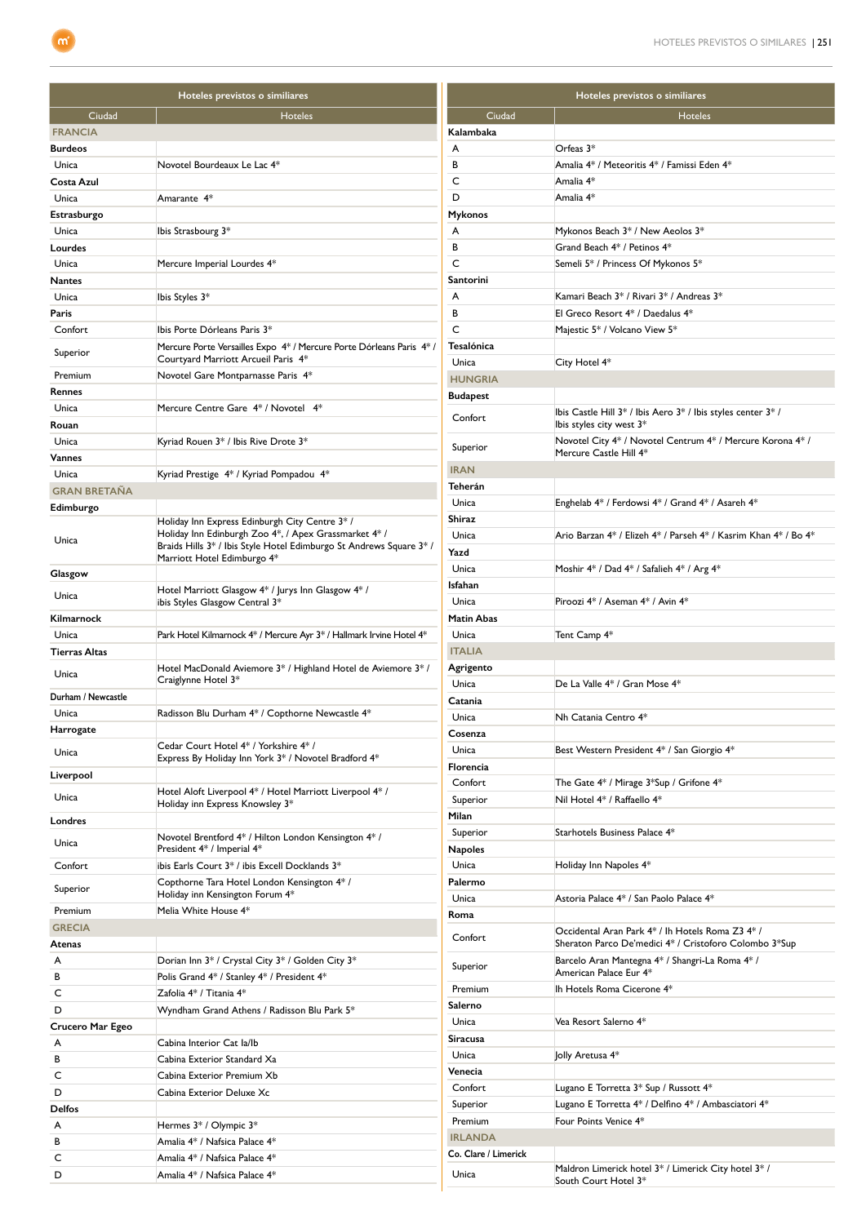| Hoteles previstos o similiares |                                                                                             | Hoteles previstos o similiares         |                                                                                                            |
|--------------------------------|---------------------------------------------------------------------------------------------|----------------------------------------|------------------------------------------------------------------------------------------------------------|
| Ciudad                         | <b>Hoteles</b>                                                                              | Ciudad                                 | <b>Hoteles</b>                                                                                             |
| <b>FRANCIA</b>                 |                                                                                             | Kalambaka                              |                                                                                                            |
| <b>Burdeos</b>                 |                                                                                             | A                                      | Orfeas $3*$                                                                                                |
| Unica                          | Novotel Bourdeaux Le Lac 4*                                                                 | В                                      | Amalia 4* / Meteoritis 4* / Famissi Eden 4*                                                                |
| Costa Azul                     |                                                                                             | C                                      | Amalia 4*                                                                                                  |
| Unica                          | Amarante 4*                                                                                 | D                                      | Amalia 4*                                                                                                  |
| Estrasburgo                    |                                                                                             | <b>Mykonos</b>                         |                                                                                                            |
| Unica                          | Ibis Strasbourg 3*                                                                          | A                                      | Mykonos Beach 3* / New Aeolos 3*                                                                           |
| Lourdes                        |                                                                                             | в                                      | Grand Beach 4* / Petinos 4*                                                                                |
| Unica                          | Mercure Imperial Lourdes 4*                                                                 | C                                      | Semeli 5* / Princess Of Mykonos 5*                                                                         |
| Nantes                         |                                                                                             | Santorini<br>A                         | Kamari Beach 3* / Rivari 3* / Andreas 3*                                                                   |
| Unica<br>Paris                 | Ibis Styles 3*                                                                              | В                                      | El Greco Resort 4* / Daedalus 4*                                                                           |
| Confort                        | Ibis Porte Dórleans Paris 3*                                                                | C                                      | Majestic 5* / Volcano View 5*                                                                              |
|                                | Mercure Porte Versailles Expo 4* / Mercure Porte Dórleans Paris 4* /                        | Tesalónica                             |                                                                                                            |
| Superior                       | Courtyard Marriott Arcueil Paris 4*                                                         | Unica                                  | City Hotel 4*                                                                                              |
| Premium                        | Novotel Gare Montparnasse Paris 4*                                                          | <b>HUNGRIA</b>                         |                                                                                                            |
| Rennes                         |                                                                                             | <b>Budapest</b>                        |                                                                                                            |
| Unica                          | Mercure Centre Gare 4* / Novotel 4*                                                         | Confort                                | Ibis Castle Hill $3^*$ / Ibis Aero $3^*$ / Ibis styles center $3^*$ /                                      |
| Rouan                          |                                                                                             |                                        | Ibis styles city west 3*                                                                                   |
| Unica                          | Kyriad Rouen 3* / Ibis Rive Drote 3*                                                        | Superior                               | Novotel City 4* / Novotel Centrum 4* / Mercure Korona 4* /<br>Mercure Castle Hill 4*                       |
| Vannes                         |                                                                                             | <b>IRAN</b>                            |                                                                                                            |
| Unica                          | Kyriad Prestige 4* / Kyriad Pompadou 4*                                                     | Teherán                                |                                                                                                            |
| <b>GRAN BRETAÑA</b>            |                                                                                             | Unica                                  | Enghelab 4* / Ferdowsi 4* / Grand 4* / Asareh 4*                                                           |
| Edimburgo                      | Holiday Inn Express Edinburgh City Centre 3* /                                              | Shiraz                                 |                                                                                                            |
| Unica                          | Holiday Inn Edinburgh Zoo 4*, / Apex Grassmarket 4* /                                       | Unica                                  | Ario Barzan 4* / Elizeh 4* / Parseh 4* / Kasrim Khan 4* / Bo 4*                                            |
|                                | Braids Hills 3* / Ibis Style Hotel Edimburgo St Andrews Square 3* /                         | Yazd                                   |                                                                                                            |
| Glasgow                        | Marriott Hotel Edimburgo 4*                                                                 | Unica                                  | Moshir 4* / Dad 4* / Safalieh 4* / Arg 4*                                                                  |
|                                | Hotel Marriott Glasgow 4* / Jurys Inn Glasgow 4* /                                          | Isfahan                                |                                                                                                            |
| Unica                          | ibis Styles Glasgow Central 3*                                                              | Unica                                  | Piroozi 4* / Aseman 4* / Avin 4*                                                                           |
| Kilmarnock                     |                                                                                             | <b>Matin Abas</b>                      |                                                                                                            |
| Unica                          | Park Hotel Kilmarnock 4* / Mercure Ayr 3* / Hallmark Irvine Hotel 4*                        | Unica                                  | Tent Camp 4*                                                                                               |
| Tierras Altas                  |                                                                                             | <b>ITALIA</b>                          |                                                                                                            |
| Unica                          | Hotel MacDonald Aviemore 3* / Highland Hotel de Aviemore 3* /<br>Craiglynne Hotel 3*        | Agrigento                              |                                                                                                            |
| Durham / Newcastle             |                                                                                             | Unica                                  | De La Valle 4* / Gran Mose 4*                                                                              |
| Unica                          | Radisson Blu Durham 4* / Copthorne Newcastle 4*                                             | Catania<br>Unica                       | Nh Catania Centro 4*                                                                                       |
| Harrogate                      |                                                                                             | Cosenza                                |                                                                                                            |
| Unica                          | Cedar Court Hotel 4* / Yorkshire 4* /                                                       | Unica                                  | Best Western President 4* / San Giorgio 4*                                                                 |
|                                | Express By Holiday Inn York 3* / Novotel Bradford 4*                                        | Florencia                              |                                                                                                            |
| Liverpool                      |                                                                                             | Confort                                | The Gate 4* / Mirage 3*Sup / Grifone 4*                                                                    |
| Unica                          | Hotel Aloft Liverpool 4* / Hotel Marriott Liverpool 4* /<br>Holiday inn Express Knowsley 3* | Superior                               | Nil Hotel 4* / Raffaello 4*                                                                                |
| Londres                        |                                                                                             | Milan                                  |                                                                                                            |
|                                | Novotel Brentford 4* / Hilton London Kensington 4* /                                        | Superior                               | Starhotels Business Palace 4*                                                                              |
| Unica                          | President 4* / Imperial 4*                                                                  | <b>Napoles</b>                         |                                                                                                            |
| Confort                        | ibis Earls Court 3* / ibis Excell Docklands 3*                                              | Unica                                  | Holiday Inn Napoles 4*                                                                                     |
| Superior                       | Copthorne Tara Hotel London Kensington 4*/                                                  | Palermo                                |                                                                                                            |
|                                | Holiday inn Kensington Forum 4*<br>Melia White House 4*                                     | Unica                                  | Astoria Palace 4* / San Paolo Palace 4*                                                                    |
| Premium<br><b>GRECIA</b>       |                                                                                             | Roma                                   |                                                                                                            |
| Atenas                         |                                                                                             | Confort                                | Occidental Aran Park 4* / Ih Hotels Roma Z3 4* /<br>Sheraton Parco De'medici 4* / Cristoforo Colombo 3*Sup |
| A                              | Dorian Inn 3* / Crystal City 3* / Golden City 3*                                            |                                        | Barcelo Aran Mantegna 4* / Shangri-La Roma 4* /                                                            |
| В                              | Polis Grand 4* / Stanley 4* / President 4*                                                  | Superior                               | American Palace Eur 4*                                                                                     |
| C                              | Zafolia 4* / Titania 4*                                                                     | Premium                                | Ih Hotels Roma Cicerone 4*                                                                                 |
| D                              | Wyndham Grand Athens / Radisson Blu Park 5*                                                 | Salerno                                |                                                                                                            |
| Crucero Mar Egeo               |                                                                                             | Unica                                  | Vea Resort Salerno 4*                                                                                      |
| A                              | Cabina Interior Cat la/lb                                                                   | <b>Siracusa</b>                        |                                                                                                            |
| в                              | Cabina Exterior Standard Xa                                                                 | Unica                                  | Jolly Aretusa 4*                                                                                           |
| C                              | Cabina Exterior Premium Xb                                                                  | Venecia                                |                                                                                                            |
| D                              | Cabina Exterior Deluxe Xc                                                                   | Confort                                | Lugano E Torretta 3* Sup / Russott 4*                                                                      |
| Delfos                         |                                                                                             | Superior                               | Lugano E Torretta 4* / Delfino 4* / Ambasciatori 4*                                                        |
| A                              | Hermes 3* / Olympic 3*                                                                      | Premium                                | Four Points Venice 4*                                                                                      |
| в                              | Amalia 4* / Nafsica Palace 4*                                                               | <b>IRLANDA</b><br>Co. Clare / Limerick |                                                                                                            |
| C                              | Amalia 4* / Nafsica Palace 4*                                                               |                                        | Maldron Limerick hotel 3* / Limerick City hotel 3* /                                                       |
| D                              | Amalia 4* / Nafsica Palace 4*                                                               | Unica                                  | South Court Hotel 3*                                                                                       |

 $\boxed{\mathbf{m}^{\prime}}$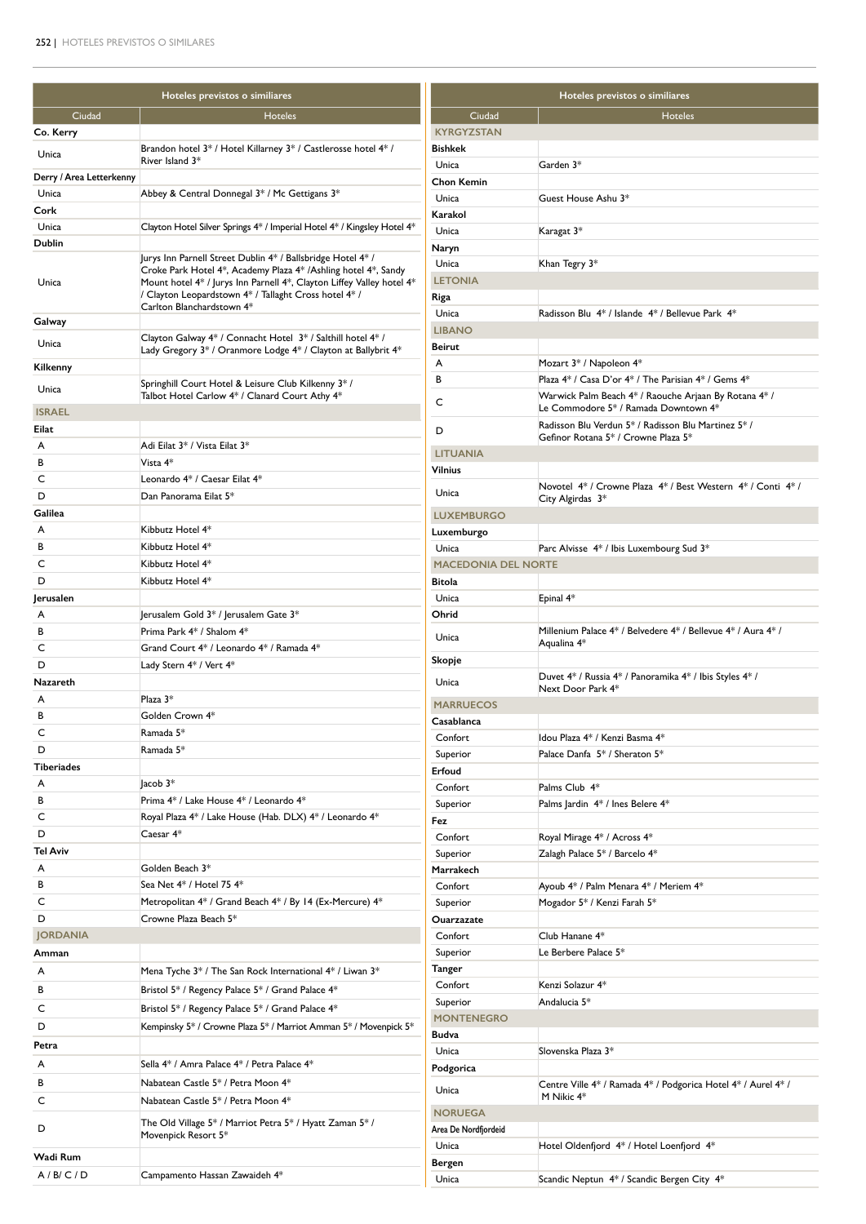| Hoteles previstos o similiares    |                                                                                                                                                                                                                               | Hoteles previstos o similiares       |                                                                                            |  |
|-----------------------------------|-------------------------------------------------------------------------------------------------------------------------------------------------------------------------------------------------------------------------------|--------------------------------------|--------------------------------------------------------------------------------------------|--|
| Ciudad                            | <b>Hoteles</b>                                                                                                                                                                                                                | Ciudad                               | <b>Hoteles</b>                                                                             |  |
| Co. Kerry                         |                                                                                                                                                                                                                               | <b>KYRGYZSTAN</b>                    |                                                                                            |  |
| Unica                             | Brandon hotel 3* / Hotel Killarney 3* / Castlerosse hotel 4* /                                                                                                                                                                | <b>Bishkek</b>                       |                                                                                            |  |
|                                   | River Island 3*                                                                                                                                                                                                               | Unica                                | Garden 3*                                                                                  |  |
| Derry / Area Letterkenny<br>Unica | Abbey & Central Donnegal 3* / Mc Gettigans 3*                                                                                                                                                                                 | <b>Chon Kemin</b>                    |                                                                                            |  |
| Cork                              |                                                                                                                                                                                                                               | Unica                                | Guest House Ashu 3*                                                                        |  |
| Unica                             | Clayton Hotel Silver Springs 4* / Imperial Hotel 4* / Kingsley Hotel 4*                                                                                                                                                       | Karakol                              |                                                                                            |  |
| Dublin                            |                                                                                                                                                                                                                               | Unica                                | Karagat 3*                                                                                 |  |
|                                   | Jurys Inn Parnell Street Dublin 4* / Ballsbridge Hotel 4* /                                                                                                                                                                   | Naryn<br>Unica                       | Khan Tegry 3*                                                                              |  |
| Unica                             | Croke Park Hotel 4*, Academy Plaza 4* /Ashling hotel 4*, Sandy<br>Mount hotel 4* / Jurys Inn Parnell 4*, Clayton Liffey Valley hotel 4*<br>/ Clayton Leopardstown 4* / Tallaght Cross hotel 4* /<br>Carlton Blanchardstown 4* | <b>LETONIA</b>                       |                                                                                            |  |
|                                   |                                                                                                                                                                                                                               | Riga                                 |                                                                                            |  |
|                                   |                                                                                                                                                                                                                               | Unica                                | Radisson Blu 4* / Islande 4* / Bellevue Park 4*                                            |  |
| Galway                            |                                                                                                                                                                                                                               | <b>LIBANO</b>                        |                                                                                            |  |
| Unica                             | Clayton Galway 4* / Connacht Hotel 3* / Salthill hotel 4* /<br>Lady Gregory 3* / Oranmore Lodge 4* / Clayton at Ballybrit 4*                                                                                                  | Beirut                               |                                                                                            |  |
| Kilkenny                          |                                                                                                                                                                                                                               | A                                    | Mozart 3* / Napoleon 4*                                                                    |  |
|                                   | Springhill Court Hotel & Leisure Club Kilkenny 3* /                                                                                                                                                                           | В                                    | Plaza 4* / Casa D'or 4* / The Parisian 4* / Gems 4*                                        |  |
| Unica                             | Talbot Hotel Carlow 4* / Clanard Court Athy 4*                                                                                                                                                                                | C                                    | Warwick Palm Beach 4* / Raouche Arjaan By Rotana 4* /                                      |  |
| <b>ISRAEL</b>                     |                                                                                                                                                                                                                               |                                      | Le Commodore 5* / Ramada Downtown 4*                                                       |  |
| Eilat                             |                                                                                                                                                                                                                               | D                                    | Radisson Blu Verdun 5* / Radisson Blu Martinez 5* /<br>Gefinor Rotana 5* / Crowne Plaza 5* |  |
| A                                 | Adi Eilat 3* / Vista Eilat 3*                                                                                                                                                                                                 | <b>LITUANIA</b>                      |                                                                                            |  |
| В                                 | Vista 4*                                                                                                                                                                                                                      | Vilnius                              |                                                                                            |  |
| C                                 | Leonardo 4* / Caesar Eilat 4*                                                                                                                                                                                                 | Unica                                | Novotel 4* / Crowne Plaza 4* / Best Western 4* / Conti 4* /                                |  |
| D                                 | Dan Panorama Eilat 5*                                                                                                                                                                                                         |                                      | City Algirdas 3*                                                                           |  |
| Galilea                           |                                                                                                                                                                                                                               | <b>LUXEMBURGO</b>                    |                                                                                            |  |
| A                                 | Kibbutz Hotel 4*<br>Kibbutz Hotel 4*                                                                                                                                                                                          | Luxemburgo                           |                                                                                            |  |
| В<br>C                            | Kibbutz Hotel 4*                                                                                                                                                                                                              | Unica                                | Parc Alvisse 4* / Ibis Luxembourg Sud 3*                                                   |  |
| D                                 | Kibbutz Hotel 4*                                                                                                                                                                                                              | <b>MACEDONIA DEL NORTE</b><br>Bitola |                                                                                            |  |
| Jerusalen                         |                                                                                                                                                                                                                               | Unica                                | Epinal 4*                                                                                  |  |
| A                                 | Jerusalem Gold 3* / Jerusalem Gate 3*                                                                                                                                                                                         | Ohrid                                |                                                                                            |  |
| в                                 | Prima Park 4* / Shalom 4*                                                                                                                                                                                                     |                                      | Millenium Palace 4* / Belvedere 4* / Bellevue 4* / Aura 4* /                               |  |
| C                                 | Grand Court 4* / Leonardo 4* / Ramada 4*                                                                                                                                                                                      | Unica                                | Aqualina 4*                                                                                |  |
| D                                 | Lady Stern 4* / Vert 4*                                                                                                                                                                                                       | Skopje                               |                                                                                            |  |
| Nazareth                          |                                                                                                                                                                                                                               | Unica                                | Duvet 4* / Russia 4* / Panoramika 4* / Ibis Styles 4* /<br>Next Door Park 4*               |  |
| A                                 | Plaza $3*$                                                                                                                                                                                                                    | <b>MARRUECOS</b>                     |                                                                                            |  |
| В                                 | Golden Crown 4*                                                                                                                                                                                                               | Casablanca                           |                                                                                            |  |
| C                                 | Ramada 5*                                                                                                                                                                                                                     | Confort                              | Idou Plaza 4* / Kenzi Basma 4*                                                             |  |
| D                                 | Ramada 5*                                                                                                                                                                                                                     | Superior                             | Palace Danfa 5* / Sheraton 5*                                                              |  |
| Tiberiades                        |                                                                                                                                                                                                                               | Erfoud                               |                                                                                            |  |
| A                                 | $lacob 3*$                                                                                                                                                                                                                    | Confort                              | Palms Club 4*                                                                              |  |
| В                                 | Prima 4* / Lake House 4* / Leonardo 4*                                                                                                                                                                                        | Superior                             | Palms Jardin 4* / Ines Belere 4*                                                           |  |
| С                                 | Royal Plaza 4* / Lake House (Hab. DLX) 4* / Leonardo 4*                                                                                                                                                                       | Fez                                  |                                                                                            |  |
| D                                 | Caesar 4*                                                                                                                                                                                                                     | Confort                              | Royal Mirage 4* / Across 4*                                                                |  |
| Tel Aviv                          |                                                                                                                                                                                                                               | Superior                             | Zalagh Palace 5* / Barcelo 4*                                                              |  |
| A                                 | Golden Beach 3*                                                                                                                                                                                                               | Marrakech                            |                                                                                            |  |
| в                                 | Sea Net 4* / Hotel 75 4*                                                                                                                                                                                                      | Confort                              | Ayoub 4* / Palm Menara 4* / Meriem 4*                                                      |  |
| с<br>D                            | Metropolitan 4* / Grand Beach 4* / By 14 (Ex-Mercure) 4*<br>Crowne Plaza Beach 5*                                                                                                                                             | Superior                             | Mogador 5* / Kenzi Farah 5*                                                                |  |
| <b>JORDANIA</b>                   |                                                                                                                                                                                                                               | Ouarzazate<br>Confort                | Club Hanane 4*                                                                             |  |
| Amman                             |                                                                                                                                                                                                                               | Superior                             | Le Berbere Palace 5*                                                                       |  |
|                                   |                                                                                                                                                                                                                               | Tanger                               |                                                                                            |  |
| A                                 | Mena Tyche 3* / The San Rock International 4* / Liwan 3*                                                                                                                                                                      | Confort                              | Kenzi Solazur 4*                                                                           |  |
| В                                 | Bristol 5* / Regency Palace 5* / Grand Palace 4*                                                                                                                                                                              | Superior                             | Andalucia 5*                                                                               |  |
| C                                 | Bristol 5* / Regency Palace 5* / Grand Palace 4*                                                                                                                                                                              | <b>MONTENEGRO</b>                    |                                                                                            |  |
| D                                 | Kempinsky 5* / Crowne Plaza 5* / Marriot Amman 5* / Movenpick 5*                                                                                                                                                              | Budva                                |                                                                                            |  |
| Petra                             |                                                                                                                                                                                                                               | Unica                                | Slovenska Plaza 3*                                                                         |  |
| A                                 | Sella 4* / Amra Palace 4* / Petra Palace 4*                                                                                                                                                                                   | Podgorica                            |                                                                                            |  |
| В                                 | Nabatean Castle 5* / Petra Moon 4*                                                                                                                                                                                            | Unica                                | Centre Ville 4* / Ramada 4* / Podgorica Hotel 4* / Aurel 4* /                              |  |
| С                                 | Nabatean Castle 5* / Petra Moon 4*                                                                                                                                                                                            | <b>NORUEGA</b>                       | M Nikic 4*                                                                                 |  |
| D                                 | The Old Village 5* / Marriot Petra 5* / Hyatt Zaman 5* /                                                                                                                                                                      | Area De Nordfjordeid                 |                                                                                            |  |
|                                   | Movenpick Resort 5*                                                                                                                                                                                                           | Unica                                | Hotel Oldenfjord 4* / Hotel Loenfjord 4*                                                   |  |
| Wadi Rum                          |                                                                                                                                                                                                                               | Bergen                               |                                                                                            |  |
| A/B/C/D                           | Campamento Hassan Zawaideh 4*                                                                                                                                                                                                 | Unica                                | Scandic Neptun 4* / Scandic Bergen City 4*                                                 |  |